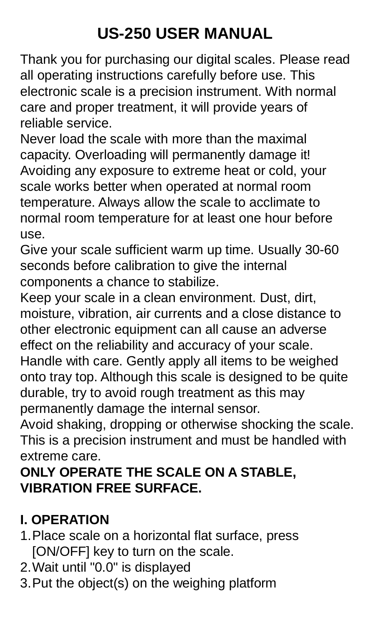# **US-250 USER MANUAL**

Thank you for purchasing our digital scales. Please read all operating instructions carefully before use. This electronic scale is a precision instrument. With normal care and proper treatment, it will provide years of reliable service.

Never load the scale with more than the maximal capacity. Overloading will permanently damage it! Avoiding any exposure to extreme heat or cold, your scale works better when operated at normal room temperature. Always allow the scale to acclimate to normal room temperature for at least one hour before use.

Give your scale sufficient warm up time. Usually 30-60 seconds before calibration to give the internal components a chance to stabilize.

Keep your scale in a clean environment. Dust, dirt, moisture, vibration, air currents and a close distance to other electronic equipment can all cause an adverse effect on the reliability and accuracy of your scale.

Handle with care. Gently apply all items to be weighed onto tray top. Although this scale is designed to be quite durable, try to avoid rough treatment as this may permanently damage the internal sensor.

Avoid shaking, dropping or otherwise shocking the scale. This is a precision instrument and must be handled with extreme care.

#### **ONLY OPERATE THE SCALE ON A STABLE, VIBRATION FREE SURFACE.**

## **I. OPERATION**

- 1.Place scale on a horizontal flat surface, press [ON/OFF] key to turn on the scale.
- 2.Wait until "0.0" is displayed
- 3.Put the object(s) on the weighing platform